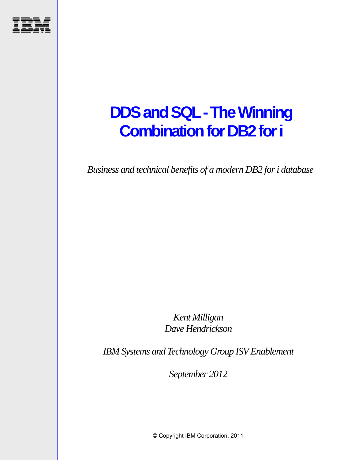

# **DDS and SQL - The Winning Combination for DB2 for i**

*Business and technical benefits of a modern DB2 for i database* 

*Kent Milligan Dave Hendrickson* 

*IBM Systems and Technology Group ISV Enablement* 

*September 2012* 

© Copyright IBM Corporation, 2011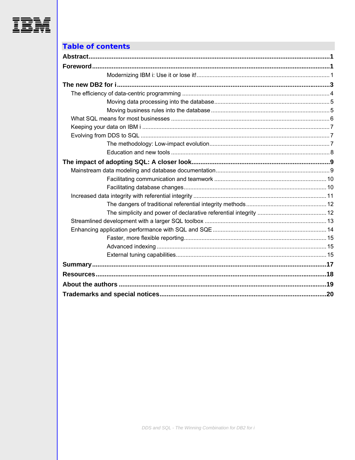

### **Table of contents**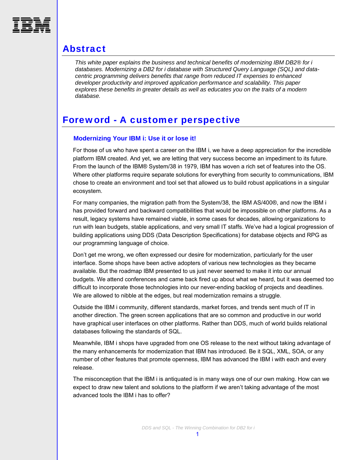<span id="page-2-0"></span>

### Abstract

*This white paper explains the business and technical benefits of modernizing IBM DB2® for i databases. Modernizing a DB2 for i database with Structured Query Language (SQL) and datacentric programming delivers benefits that range from reduced IT expenses to enhanced developer productivity and improved application performance and scalability. This paper explores these benefits in greater details as well as educates you on the traits of a modern database.* 

### <span id="page-2-2"></span><span id="page-2-1"></span>Foreword - A customer perspective

#### **Modernizing Your IBM i: Use it or lose it!**

For those of us who have spent a career on the IBM i, we have a deep appreciation for the incredible platform IBM created. And yet, we are letting that very success become an impediment to its future. From the launch of the IBM® System/38 in 1979, IBM has woven a rich set of features into the OS. Where other platforms require separate solutions for everything from security to communications, IBM chose to create an environment and tool set that allowed us to build robust applications in a singular ecosystem.

For many companies, the migration path from the System/38, the IBM AS/400®, and now the IBM i has provided forward and backward compatibilities that would be impossible on other platforms. As a result, legacy systems have remained viable, in some cases for decades, allowing organizations to run with lean budgets, stable applications, and very small IT staffs. We've had a logical progression of building applications using DDS (Data Description Specifications) for database objects and RPG as our programming language of choice.

Don't get me wrong, we often expressed our desire for modernization, particularly for the user interface. Some shops have been active adopters of various new technologies as they became available. But the roadmap IBM presented to us just never seemed to make it into our annual budgets. We attend conferences and came back fired up about what we heard, but it was deemed too difficult to incorporate those technologies into our never-ending backlog of projects and deadlines. We are allowed to nibble at the edges, but real modernization remains a struggle.

Outside the IBM i community, different standards, market forces, and trends sent much of IT in another direction. The green screen applications that are so common and productive in our world have graphical user interfaces on other platforms. Rather than DDS, much of world builds relational databases following the standards of SQL.

Meanwhile, IBM i shops have upgraded from one OS release to the next without taking advantage of the many enhancements for modernization that IBM has introduced. Be it SQL, XML, SOA, or any number of other features that promote openness, IBM has advanced the IBM i with each and every release.

The misconception that the IBM i is antiquated is in many ways one of our own making. How can we expect to draw new talent and solutions to the platform if we aren't taking advantage of the most advanced tools the IBM i has to offer?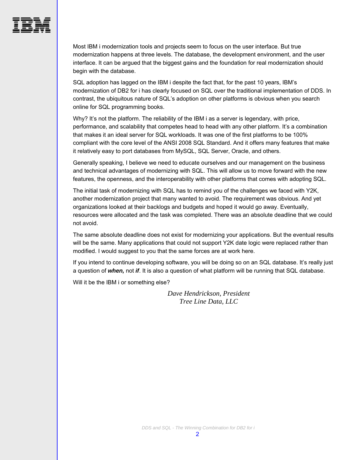

Most IBM i modernization tools and projects seem to focus on the user interface. But true modernization happens at three levels. The database, the development environment, and the user interface. It can be argued that the biggest gains and the foundation for real modernization should begin with the database.

SQL adoption has lagged on the IBM i despite the fact that, for the past 10 years, IBM's modernization of DB2 for i has clearly focused on SQL over the traditional implementation of DDS. In contrast, the ubiquitous nature of SQL's adoption on other platforms is obvious when you search online for SQL programming books.

Why? It's not the platform. The reliability of the IBM i as a server is legendary, with price, performance, and scalability that competes head to head with any other platform. It's a combination that makes it an ideal server for SQL workloads. It was one of the first platforms to be 100% compliant with the core level of the ANSI 2008 SQL Standard. And it offers many features that make it relatively easy to port databases from MySQL, SQL Server, Oracle, and others.

Generally speaking, I believe we need to educate ourselves and our management on the business and technical advantages of modernizing with SQL. This will allow us to move forward with the new features, the openness, and the interoperability with other platforms that comes with adopting SQL.

The initial task of modernizing with SQL has to remind you of the challenges we faced with Y2K, another modernization project that many wanted to avoid. The requirement was obvious. And yet organizations looked at their backlogs and budgets and hoped it would go away. Eventually, resources were allocated and the task was completed. There was an absolute deadline that we could not avoid.

The same absolute deadline does not exist for modernizing your applications. But the eventual results will be the same. Many applications that could not support Y2K date logic were replaced rather than modified. I would suggest to you that the same forces are at work here.

If you intend to continue developing software, you will be doing so on an SQL database. It's really just a question of *when,* not *if*. It is also a question of what platform will be running that SQL database.

Will it be the IBM i or something else?

*Dave Hendrickson, President Tree Line Data, LLC*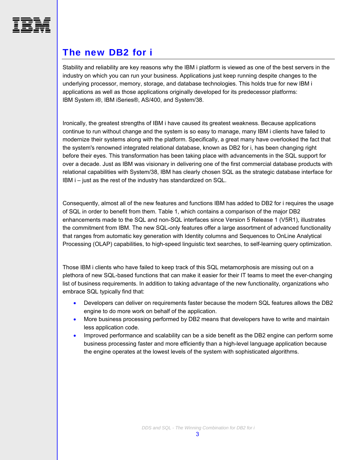<span id="page-4-0"></span>

# The new DB2 for i

Stability and reliability are key reasons why the IBM i platform is viewed as one of the best servers in the industry on which you can run your business. Applications just keep running despite changes to the underlying processor, memory, storage, and database technologies. This holds true for new IBM i applications as well as those applications originally developed for its predecessor platforms: IBM System i®, IBM iSeries®, AS/400, and System/38.

Ironically, the greatest strengths of IBM i have caused its greatest weakness. Because applications continue to run without change and the system is so easy to manage, many IBM i clients have failed to modernize their systems along with the platform. Specifically, a great many have overlooked the fact that the system's renowned integrated relational database, known as DB2 for i, has been changing right before their eyes. This transformation has been taking place with advancements in the SQL support for over a decade. Just as IBM was visionary in delivering one of the first commercial database products with relational capabilities with System/38, IBM has clearly chosen SQL as the strategic database interface for IBM i – just as the rest of the industry has standardized on SQL.

Consequently, almost all of the new features and functions IBM has added to DB2 for i requires the usage of SQL in order to benefit from them. [Table 1](#page-5-1), which contains a comparison of the major DB2 enhancements made to the SQL and non-SQL interfaces since Version 5 Release 1 (V5R1), illustrates the commitment from IBM. The new SQL-only features offer a large assortment of advanced functionality that ranges from automatic key generation with Identity columns and Sequences to OnLine Analytical Processing (OLAP) capabilities, to high-speed linguistic text searches, to self-learning query optimization.

Those IBM i clients who have failed to keep track of this SQL metamorphosis are missing out on a plethora of new SQL-based functions that can make it easier for their IT teams to meet the ever-changing list of business requirements. In addition to taking advantage of the new functionality, organizations who embrace SQL typically find that:

- Developers can deliver on requirements faster because the modern SQL features allows the DB2 engine to do more work on behalf of the application.
- More business processing performed by DB2 means that developers have to write and maintain less application code.
- Improved performance and scalability can be a side benefit as the DB2 engine can perform some business processing faster and more efficiently than a high-level language application because the engine operates at the lowest levels of the system with sophisticated algorithms.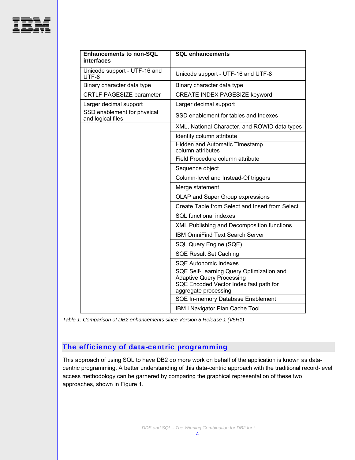

| <b>Enhancements to non-SQL</b><br>interfaces     | <b>SQL enhancements</b>                                                      |  |  |
|--------------------------------------------------|------------------------------------------------------------------------------|--|--|
| Unicode support - UTF-16 and<br>UTF-8            | Unicode support - UTF-16 and UTF-8                                           |  |  |
| Binary character data type                       | Binary character data type                                                   |  |  |
| CRTLF PAGESIZE parameter                         | <b>CREATE INDEX PAGESIZE keyword</b>                                         |  |  |
| Larger decimal support                           | Larger decimal support                                                       |  |  |
| SSD enablement for physical<br>and logical files | SSD enablement for tables and Indexes                                        |  |  |
|                                                  | XML, National Character, and ROWID data types                                |  |  |
|                                                  | Identity column attribute                                                    |  |  |
|                                                  | <b>Hidden and Automatic Timestamp</b><br>column attributes                   |  |  |
|                                                  | Field Procedure column attribute                                             |  |  |
|                                                  | Sequence object                                                              |  |  |
|                                                  | Column-level and Instead-Of triggers                                         |  |  |
|                                                  | Merge statement                                                              |  |  |
|                                                  | OLAP and Super Group expressions                                             |  |  |
|                                                  | Create Table from Select and Insert from Select                              |  |  |
|                                                  | <b>SQL</b> functional indexes                                                |  |  |
|                                                  | XML Publishing and Decomposition functions                                   |  |  |
|                                                  | <b>IBM OmniFind Text Search Server</b>                                       |  |  |
|                                                  | SQL Query Engine (SQE)                                                       |  |  |
|                                                  | <b>SQE Result Set Caching</b>                                                |  |  |
|                                                  | <b>SQE Autonomic Indexes</b>                                                 |  |  |
|                                                  | SQE Self-Learning Query Optimization and<br><b>Adaptive Query Processing</b> |  |  |
|                                                  | SQE Encoded Vector Index fast path for<br>aggregate processing               |  |  |
|                                                  | SQE In-memory Database Enablement                                            |  |  |
|                                                  | IBM i Navigator Plan Cache Tool                                              |  |  |

<span id="page-5-1"></span>*Table 1: Comparison of DB2 enhancements since Version 5 Release 1 (V5R1)* 

### <span id="page-5-0"></span>The efficiency of data-centric programming

This approach of using SQL to have DB2 do more work on behalf of the application is known as datacentric programming. A better understanding of this data-centric approach with the traditional record-level access methodology can be garnered by comparing the graphical representation of these two approaches, shown in [Figure 1.](#page-6-2)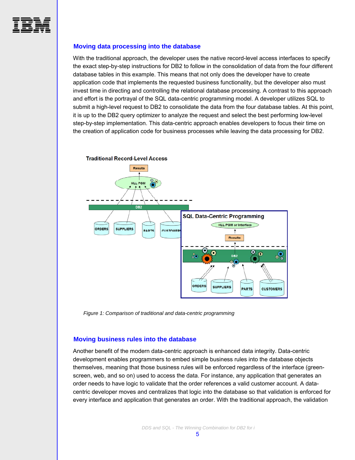<span id="page-6-0"></span>

#### **Moving data processing into the database**

With the traditional approach, the developer uses the native record-level access interfaces to specify the exact step-by-step instructions for DB2 to follow in the consolidation of data from the four different database tables in this example. This means that not only does the developer have to create application code that implements the requested business functionality, but the developer also must invest time in directing and controlling the relational database processing. A contrast to this approach and effort is the portrayal of the SQL data-centric programming model. A developer utilizes SQL to submit a high-level request to DB2 to consolidate the data from the four database tables. At this point, it is up to the DB2 query optimizer to analyze the request and select the best performing low-level step-by-step implementation. This data-centric approach enables developers to focus their time on the creation of application code for business processes while leaving the data processing for DB2.



*Figure 1: Comparison of traditional and data-centric programming*

#### <span id="page-6-2"></span><span id="page-6-1"></span>**Moving business rules into the database**

Another benefit of the modern data-centric approach is enhanced data integrity. Data-centric development enables programmers to embed simple business rules into the database objects themselves, meaning that those business rules will be enforced regardless of the interface (greenscreen, web, and so on) used to access the data. For instance, any application that generates an order needs to have logic to validate that the order references a valid customer account. A datacentric developer moves and centralizes that logic into the database so that validation is enforced for every interface and application that generates an order. With the traditional approach, the validation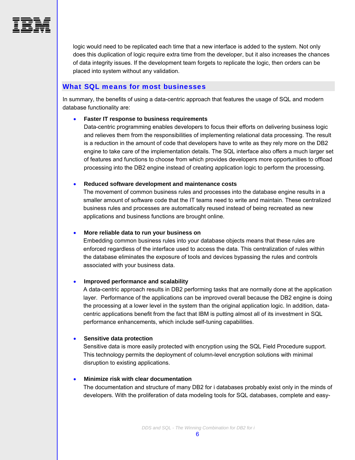

logic would need to be replicated each time that a new interface is added to the system. Not only does this duplication of logic require extra time from the developer, but it also increases the chances of data integrity issues. If the development team forgets to replicate the logic, then orders can be placed into system without any validation.

#### <span id="page-7-0"></span>What SQL means for most businesses

In summary, the benefits of using a data-centric approach that features the usage of SQL and modern database functionality are:

#### **Faster IT response to business requirements**

Data-centric programming enables developers to focus their efforts on delivering business logic and relieves them from the responsibilities of implementing relational data processing. The result is a reduction in the amount of code that developers have to write as they rely more on the DB2 engine to take care of the implementation details. The SQL interface also offers a much larger set of features and functions to choose from which provides developers more opportunities to offload processing into the DB2 engine instead of creating application logic to perform the processing.

#### **Reduced software development and maintenance costs**

The movement of common business rules and processes into the database engine results in a smaller amount of software code that the IT teams need to write and maintain. These centralized business rules and processes are automatically reused instead of being recreated as new applications and business functions are brought online.

#### **More reliable data to run your business on**

Embedding common business rules into your database objects means that these rules are enforced regardless of the interface used to access the data. This centralization of rules within the database eliminates the exposure of tools and devices bypassing the rules and controls associated with your business data.

#### **Improved performance and scalability**

A data-centric approach results in DB2 performing tasks that are normally done at the application layer. Performance of the applications can be improved overall because the DB2 engine is doing the processing at a lower level in the system than the original application logic. In addition, datacentric applications benefit from the fact that IBM is putting almost all of its investment in SQL performance enhancements, which include self-tuning capabilities.

#### **Sensitive data protection**

Sensitive data is more easily protected with encryption using the SQL Field Procedure support. This technology permits the deployment of column-level encryption solutions with minimal disruption to existing applications.

#### **Minimize risk with clear documentation**

The documentation and structure of many DB2 for i databases probably exist only in the minds of developers. With the proliferation of data modeling tools for SQL databases, complete and easy-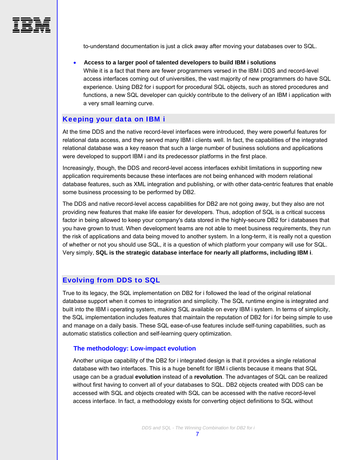

to-understand documentation is just a click away after moving your databases over to SQL.

#### **Access to a larger pool of talented developers to build IBM i solutions**

While it is a fact that there are fewer programmers versed in the IBM i DDS and record-level access interfaces coming out of universities, the vast majority of new programmers do have SQL experience. Using DB2 for i support for procedural SQL objects, such as stored procedures and functions, a new SQL developer can quickly contribute to the delivery of an IBM i application with a very small learning curve.

#### <span id="page-8-0"></span>Keeping your data on IBM i

At the time DDS and the native record-level interfaces were introduced, they were powerful features for relational data access, and they served many IBM i clients well. In fact, the capabilities of the integrated relational database was a key reason that such a large number of business solutions and applications were developed to support IBM i and its predecessor platforms in the first place.

Increasingly, though, the DDS and record-level access interfaces exhibit limitations in supporting new application requirements because these interfaces are not being enhanced with modern relational database features, such as XML integration and publishing, or with other data-centric features that enable some business processing to be performed by DB2.

The DDS and native record-level access capabilities for DB2 are not going away, but they also are not providing new features that make life easier for developers. Thus, adoption of SQL is a critical success factor in being allowed to keep your company's data stored in the highly-secure DB2 for i databases that you have grown to trust. When development teams are not able to meet business requirements, they run the risk of applications and data being moved to another system. In a long-term, it is really not a question of whether or not you should use SQL, it is a question of which platform your company will use for SQL. Very simply, **SQL is the strategic database interface for nearly all platforms, including IBM i**.

#### <span id="page-8-1"></span>Evolving from DDS to SQL

True to its legacy, the SQL implementation on DB2 for i followed the lead of the original relational database support when it comes to integration and simplicity. The SQL runtime engine is integrated and built into the IBM i operating system, making SQL available on every IBM i system. In terms of simplicity, the SQL implementation includes features that maintain the reputation of DB2 for i for being simple to use and manage on a daily basis. These SQL ease-of-use features include self-tuning capabilities, such as automatic statistics collection and self-learning query optimization.

#### **The methodology: Low-impact evolution**

<span id="page-8-2"></span>Another unique capability of the DB2 for i integrated design is that it provides a single relational database with two interfaces. This is a huge benefit for IBM i clients because it means that SQL usage can be a gradual **evolution** instead of a **revolution**. The advantages of SQL can be realized without first having to convert all of your databases to SQL. DB2 objects created with DDS can be accessed with SQL and objects created with SQL can be accessed with the native record-level access interface. In fact, a methodology exists for converting object definitions to SQL without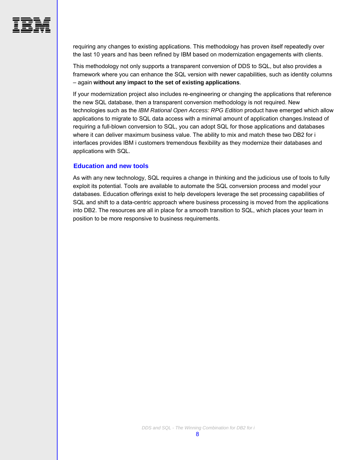

requiring any changes to existing applications. This methodology has proven itself repeatedly over the last 10 years and has been refined by IBM based on modernization engagements with clients.

This methodology not only supports a transparent conversion of DDS to SQL, but also provides a framework where you can enhance the SQL version with newer capabilities, such as identity columns – again **without any impact to the set of existing applications**.

If your modernization project also includes re-engineering or changing the applications that reference the new SQL database, then a transparent conversion methodology is not required. New technologies such as the *IBM Rational Open Access: RPG Edition* product have emerged which allow applications to migrate to SQL data access with a minimal amount of application changes.Instead of requiring a full-blown conversion to SQL, you can adopt SQL for those applications and databases where it can deliver maximum business value. The ability to mix and match these two DB2 for i interfaces provides IBM i customers tremendous flexibility as they modernize their databases and applications with SQL.

#### **Education and new tools**

<span id="page-9-0"></span>As with any new technology, SQL requires a change in thinking and the judicious use of tools to fully exploit its potential. Tools are available to automate the SQL conversion process and model your databases. Education offerings exist to help developers leverage the set processing capabilities of SQL and shift to a data-centric approach where business processing is moved from the applications into DB2. The resources are all in place for a smooth transition to SQL, which places your team in position to be more responsive to business requirements.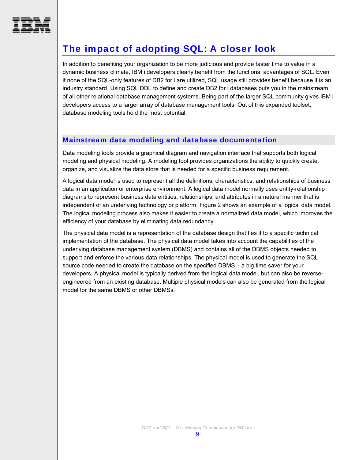<span id="page-10-0"></span>

# The impact of adopting SQL: A closer look

In addition to benefiting your organization to be more judicious and provide faster time to value in a dynamic business climate, IBM i developers clearly benefit from the functional advantages of SQL. Even if none of the SQL-only features of DB2 for i are utilized, SQL usage still provides benefit because it is an industry standard. Using SQL DDL to define and create DB2 for i databases puts you in the mainstream of all other relational database management systems. Being part of the larger SQL community gives IBM i developers access to a larger array of database management tools. Out of this expanded toolset, database modeling tools hold the most potential.

#### <span id="page-10-1"></span>Mainstream data modeling and database documentation

Data modeling tools provide a graphical diagram and navigation interface that supports both logical modeling and physical modeling. A modeling tool provides organizations the ability to quickly create, organize, and visualize the data store that is needed for a specific business requirement.

A logical data model is used to represent all the definitions, characteristics, and relationships of business data in an application or enterprise environment. A logical data model normally uses entity-relationship diagrams to represent business data entities, relationships, and attributes in a natural manner that is independent of an underlying technology or platform. [Figure 2](#page-11-2) shows an example of a logical data model. The logical modeling process also makes it easier to create a normalized data model, which improves the efficiency of your database by eliminating data redundancy.

The physical data model is a representation of the database design that ties it to a specific technical implementation of the database. The physical data model takes into account the capabilities of the underlying database management system (DBMS) and contains all of the DBMS objects needed to support and enforce the various data relationships. The physical model is used to generate the SQL source code needed to create the database on the specified DBMS – a big time saver for your developers. A physical model is typically derived from the logical data model, but can also be reverseengineered from an existing database. Multiple physical models can also be generated from the logical model for the same DBMS or other DBMSs.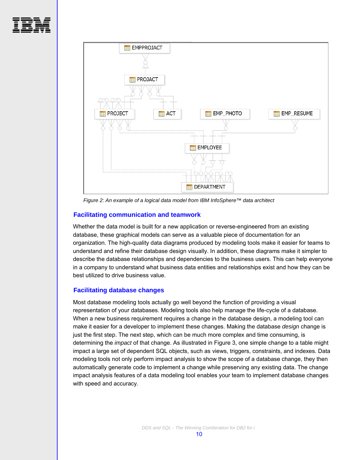



*Figure 2: An example of a logical data model from IBM InfoSphere™ data architect* 

#### <span id="page-11-2"></span>**Facilitating communication and teamwork**

<span id="page-11-0"></span>Whether the data model is built for a new application or reverse-engineered from an existing database, these graphical models can serve as a valuable piece of documentation for an organization. The high-quality data diagrams produced by modeling tools make it easier for teams to understand and refine their database design visually. In addition, these diagrams make it simpler to describe the database relationships and dependencies to the business users. This can help everyone in a company to understand what business data entities and relationships exist and how they can be best utilized to drive business value.

#### **Facilitating database changes**

<span id="page-11-1"></span>Most database modeling tools actually go well beyond the function of providing a visual representation of your databases. Modeling tools also help manage the life-cycle of a database. When a new business requirement requires a change in the database design, a modeling tool can make it easier for a developer to implement these changes. Making the database *design* change is just the first step. The next step, which can be much more complex and time consuming, is determining the *impact* of that change. As illustrated in [Figure 3](#page-12-1), one simple change to a table might impact a large set of dependent SQL objects, such as views, triggers, constraints, and indexes. Data modeling tools not only perform impact analysis to show the scope of a database change, they then automatically generate code to implement a change while preserving any existing data. The change impact analysis features of a data modeling tool enables your team to implement database changes with speed and accuracy.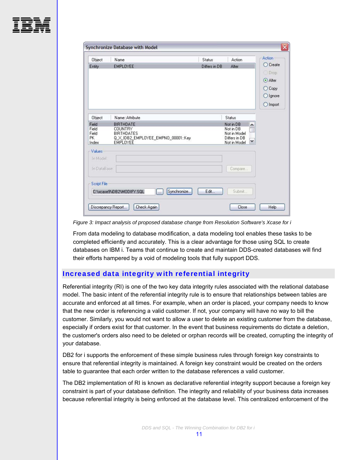

| Object             | Name                                                                 | <b>Status</b> | Action                        | Action   |
|--------------------|----------------------------------------------------------------------|---------------|-------------------------------|----------|
| Entity             | <b>EMPLOYEE</b>                                                      | Differs in DB | Alter                         | C Create |
|                    |                                                                      |               |                               | Drop     |
|                    |                                                                      |               |                               | Alter    |
|                    |                                                                      |               |                               | C Copy   |
|                    |                                                                      |               |                               | O Ignore |
|                    |                                                                      |               |                               | O Import |
|                    |                                                                      |               |                               |          |
| Object             | Name::Attribute                                                      |               | Status                        |          |
| Field<br>Field     | <b>BIRTHDATE</b><br><b>COUNTRY</b>                                   |               | Not in DB<br>Not in DB        |          |
| Field              | <b>BIRTHDATES</b>                                                    |               | Not in Model                  |          |
| <b>PK</b><br>Index | Q_X_IDB2_EMPLOYEE_EMPNO_00001::Key<br><b>EMPLOYEE</b>                |               | Differs in DB<br>Not in Model |          |
| Values             |                                                                      |               |                               |          |
| In Model:          |                                                                      |               |                               |          |
|                    |                                                                      |               |                               |          |
| In DataBase:       |                                                                      |               | Compare                       |          |
|                    |                                                                      |               |                               |          |
| <b>Script File</b> |                                                                      |               |                               |          |
|                    | Synchronize<br>C:\xcase9\iDB2\MODIFY.SQL<br>$\overline{\phantom{a}}$ | Edit          | Submit                        |          |
|                    |                                                                      |               |                               |          |
|                    | Check Again<br>Discrepancy Report                                    |               | Close                         | Help     |

<span id="page-12-1"></span>*Figure 3: Impact analysis of proposed database change from Resolution Software's Xcase for i* 

From data modeling to database modification, a data modeling tool enables these tasks to be completed efficiently and accurately. This is a clear advantage for those using SQL to create databases on IBM i. Teams that continue to create and maintain DDS-created databases will find their efforts hampered by a void of modeling tools that fully support DDS.

#### <span id="page-12-0"></span>Increased data integrity with referential integrity

Referential integrity (RI) is one of the two key data integrity rules associated with the relational database model. The basic intent of the referential integrity rule is to ensure that relationships between tables are accurate and enforced at all times. For example, when an order is placed, your company needs to know that the new order is referencing a valid customer. If not, your company will have no way to bill the customer. Similarly, you would not want to allow a user to delete an existing customer from the database, especially if orders exist for that customer. In the event that business requirements do dictate a deletion, the customer's orders also need to be deleted or orphan records will be created, corrupting the integrity of your database.

DB2 for i supports the enforcement of these simple business rules through foreign key constraints to ensure that referential integrity is maintained. A foreign key constraint would be created on the orders table to guarantee that each order written to the database references a valid customer.

The DB2 implementation of RI is known as declarative referential integrity support because a foreign key constraint is part of your database definition. The integrity and reliability of your business data increases because referential integrity is being enforced at the database level. This centralized enforcement of the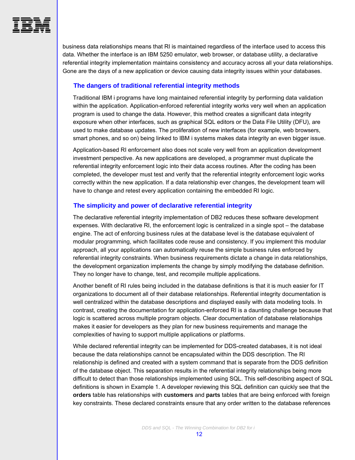<span id="page-13-0"></span>

business data relationships means that RI is maintained regardless of the interface used to access this data. Whether the interface is an IBM 5250 emulator, web browser, or database utility, a declarative referential integrity implementation maintains consistency and accuracy across all your data relationships. Gone are the days of a new application or device causing data integrity issues within your databases.

#### **The dangers of traditional referential integrity methods**

Traditional IBM i programs have long maintained referential integrity by performing data validation within the application. Application-enforced referential integrity works very well when an application program is used to change the data. However, this method creates a significant data integrity exposure when other interfaces, such as graphical SQL editors or the Data File Utility (DFU), are used to make database updates. The proliferation of new interfaces (for example, web browsers, smart phones, and so on) being linked to IBM i systems makes data integrity an even bigger issue.

Application-based RI enforcement also does not scale very well from an application development investment perspective. As new applications are developed, a programmer must duplicate the referential integrity enforcement logic into their data access routines. After the coding has been completed, the developer must test and verify that the referential integrity enforcement logic works correctly within the new application. If a data relationship ever changes, the development team will have to change and retest every application containing the embedded RI logic.

#### <span id="page-13-1"></span>**The simplicity and power of declarative referential integrity**

The declarative referential integrity implementation of DB2 reduces these software development expenses. With declarative RI, the enforcement logic is centralized in a single spot – the database engine. The act of enforcing business rules at the database level is the database equivalent of modular programming, which facilitates code reuse and consistency. If you implement this modular approach, all your applications can automatically reuse the simple business rules enforced by referential integrity constraints. When business requirements dictate a change in data relationships, the development organization implements the change by simply modifying the database definition. They no longer have to change, test, and recompile multiple applications.

Another benefit of RI rules being included in the database definitions is that it is much easier for IT organizations to document all of their database relationships. Referential integrity documentation is well centralized within the database descriptions and displayed easily with data modeling tools. In contrast, creating the documentation for application-enforced RI is a daunting challenge because that logic is scattered across multiple program objects. Clear documentation of database relationships makes it easier for developers as they plan for new business requirements and manage the complexities of having to support multiple applications or platforms.

While declared referential integrity can be implemented for DDS-created databases, it is not ideal because the data relationships cannot be encapsulated within the DDS description. The RI relationship is defined and created with a system command that is separate from the DDS definition of the database object. This separation results in the referential integrity relationships being more difficult to detect than those relationships implemented using SQL. This self-describing aspect of SQL definitions is shown in [Example 1](#page-14-1). A developer reviewing this SQL definition can quickly see that the **orders** table has relationships with **customers** and **parts** tables that are being enforced with foreign key constraints. These declared constraints ensure that any order written to the database references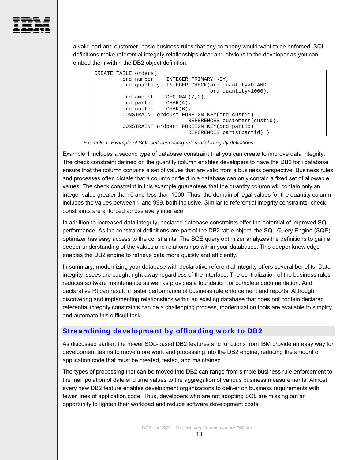

a valid part and customer; basic business rules that any company would want to be enforced. SQL definitions make referential integrity relationships clear and obvious to the developer as you can embed them within the DB2 object definition.

```
CREATE TABLE orders( 
 ord_number INTEGER PRIMARY KEY, 
 ord_quantity INTEGER CHECK(ord_quantity>0 AND 
                             ord_quantity<1000), 
ord_amount DECIMAL(7,2),
 ord_partid CHAR(4), 
ord custid CHAR(6),
 CONSTRAINT ordcust FOREIGN KEY(ord_custid) 
                       REFERENCES customers(custid), 
 CONSTRAINT ordpart FOREIGN KEY(ord_partid) 
                       REFERENCES parts(partid) )
```
*Example 1: Example of SQL self-describing referential integrity definitions* 

<span id="page-14-1"></span>[Example 1](#page-14-1) includes a second type of database constraint that you can create to improve data integrity. The check constraint defined on the quantity column enables developers to have the DB2 for i database ensure that the column contains a set of values that are valid from a business perspective. Business rules and processes often dictate that a column or field in a database can only contain a fixed set of allowable values. The check constraint in this example guarantees that the quantity column will contain only an integer value greater than 0 and less than 1000. Thus, the domain of legal values for the quantity column includes the values between 1 and 999, both inclusive. Similar to referential integrity constraints, check constraints are enforced across every interface.

In addition to increased data integrity, declared database constraints offer the potential of improved SQL performance. As the constraint definitions are part of the DB2 table object, the SQL Query Engine (SQE) optimizer has easy access to the constraints. The SQE query optimizer analyzes the definitions to gain a deeper understanding of the values and relationships within your databases. This deeper knowledge enables the DB2 engine to retrieve data more quickly and efficiently.

In summary, modernizing your database with declarative referential integrity offers several benefits. Data integrity issues are caught right away regardless of the interface. The centralization of the business rules reduces software maintenance as well as provides a foundation for complete documentation. And, declarative RI can result in faster performance of business rule enforcement and reports. Although discovering and implementing relationships within an existing database that does not contain declared referential integrity constraints can be a challenging process, modernization tools are available to simplify and automate this difficult task.

#### <span id="page-14-0"></span>Streamlining development by offloading work to DB2

As discussed earlier, the newer SQL-based DB2 features and functions from IBM provide an easy way for development teams to move more work and processing into the DB2 engine, reducing the amount of application code that must be created, tested, and maintained.

The types of processing that can be moved into DB2 can range from simple business rule enforcement to the manipulation of date and time values to the aggregation of various business measurements. Almost every new DB2 feature enables development organizations to deliver on business requirements with fewer lines of application code. Thus, developers who are not adopting SQL are missing out an opportunity to lighten their workload and reduce software development costs.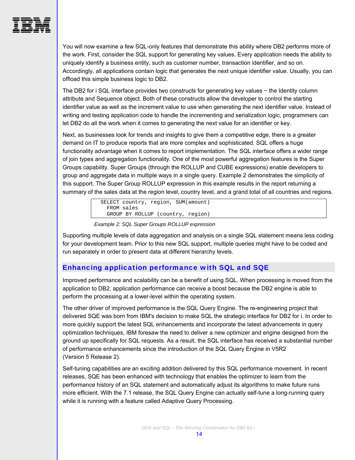

You will now examine a few SQL-only features that demonstrate this ability where DB2 performs more of the work. First, consider the SQL support for generating key values. Every application needs the ability to uniquely identify a business entity, such as customer number, transaction identifier, and so on. Accordingly, all applications contain logic that generates the next unique identifier value. Usually, you can offload this simple business logic to DB2.

The DB2 for i SQL interface provides two constructs for generating key values − the Identity column attribute and Sequence object. Both of these constructs allow the developer to control the starting identifier value as well as the increment value to use when generating the next identifier value. Instead of writing and testing application code to handle the incrementing and serialization logic, programmers can let DB2 do all the work when it comes to generating the next value for an identifier or key.

Next, as businesses look for trends and insights to give them a competitive edge, there is a greater demand on IT to produce reports that are more complex and sophisticated. SQL offers a huge functionality advantage when it comes to report implementation. The SQL interface offers a wider range of join types and aggregation functionality. One of the most powerful aggregation features is the Super Groups capability. Super Groups (through the ROLLUP and CUBE expressions) enable developers to group and aggregate data in multiple ways in a single query. [Example 2](#page-15-1) demonstrates the simplicity of this support. The Super Group ROLLUP expression in this example results in the report returning a summary of the sales data at the region level, country level, and a grand total of all countries and regions.

> SELECT country, region, SUM(amount) FROM sales GROUP BY ROLLUP (country, region)

#### *Example 2: SQL Super Groups ROLLUP expression*

<span id="page-15-1"></span>Supporting multiple levels of data aggregation and analysis on a single SQL statement means less coding for your development team. Prior to this new SQL support, multiple queries might have to be coded and run separately in order to present data at different hierarchy levels.

#### <span id="page-15-0"></span>Enhancing application performance with SQL and SQE

Improved performance and scalability can be a benefit of using SQL. When processing is moved from the application to DB2, application performance can receive a boost because the DB2 engine is able to perform the processing at a lower-level within the operating system.

The other driver of improved performance is the SQL Query Engine. The re-engineering project that delivered SQE was born from IBM's decision to make SQL the strategic interface for DB2 for i. In order to more quickly support the latest SQL enhancements and incorporate the latest advancements in query optimization techniques, IBM foresaw the need to deliver a new optimizer and engine designed from the ground up specifically for SQL requests. As a result, the SQL interface has received a substantial number of performance enhancements since the introduction of the SQL Query Engine in V5R2 (Version 5 Release 2).

Self-tuning capabilities are an exciting addition delivered by this SQL performance movement. In recent releases, SQE has been enhanced with technology that enables the optimizer to learn from the performance history of an SQL statement and automatically adjust its algorithms to make future runs more efficient. With the 7.1 release, the SQL Query Engine can actually self-tune a long-running query while it is running with a feature called Adaptive Query Processing.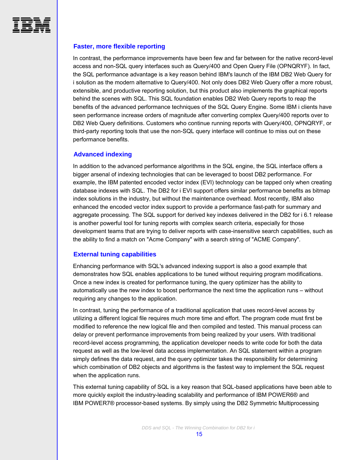<span id="page-16-0"></span>

#### **Faster, more flexible reporting**

In contrast, the performance improvements have been few and far between for the native record-level access and non-SQL query interfaces such as Query/400 and Open Query File (OPNQRYF). In fact, the SQL performance advantage is a key reason behind IBM's launch of the IBM DB2 Web Query for i solution as the modern alternative to Query/400. Not only does DB2 Web Query offer a more robust, extensible, and productive reporting solution, but this product also implements the graphical reports behind the scenes with SQL. This SQL foundation enables DB2 Web Query reports to reap the benefits of the advanced performance techniques of the SQL Query Engine. Some IBM i clients have seen performance increase orders of magnitude after converting complex Query/400 reports over to DB2 Web Query definitions. Customers who continue running reports with Query/400, OPNQRYF, or third-party reporting tools that use the non-SQL query interface will continue to miss out on these performance benefits.

#### <span id="page-16-1"></span>**Advanced indexing**

In addition to the advanced performance algorithms in the SQL engine, the SQL interface offers a bigger arsenal of indexing technologies that can be leveraged to boost DB2 performance. For example, the IBM patented encoded vector index (EVI) technology can be tapped only when creating database indexes with SQL. The DB2 for i EVI support offers similar performance benefits as bitmap index solutions in the industry, but without the maintenance overhead. Most recently, IBM also enhanced the encoded vector index support to provide a performance fast-path for summary and aggregate processing. The SQL support for derived key indexes delivered in the DB2 for i 6.1 release is another powerful tool for tuning reports with complex search criteria, especially for those development teams that are trying to deliver reports with case-insensitive search capabilities, such as the ability to find a match on "Acme Company" with a search string of "ACME Company".

#### **External tuning capabilities**

<span id="page-16-2"></span>Enhancing performance with SQL's advanced indexing support is also a good example that demonstrates how SQL enables applications to be tuned without requiring program modifications. Once a new index is created for performance tuning, the query optimizer has the ability to automatically use the new index to boost performance the next time the application runs – without requiring any changes to the application.

In contrast, tuning the performance of a traditional application that uses record-level access by utilizing a different logical file requires much more time and effort. The program code must first be modified to reference the new logical file and then compiled and tested. This manual process can delay or prevent performance improvements from being realized by your users. With traditional record-level access programming, the application developer needs to write code for both the data request as well as the low-level data access implementation. An SQL statement within a program simply defines the data request, and the query optimizer takes the responsibility for determining which combination of DB2 objects and algorithms is the fastest way to implement the SQL request when the application runs.

This external tuning capability of SQL is a key reason that SQL-based applications have been able to more quickly exploit the industry-leading scalability and performance of IBM POWER6® and IBM POWER7® processor-based systems. By simply using the DB2 Symmetric Multiprocessing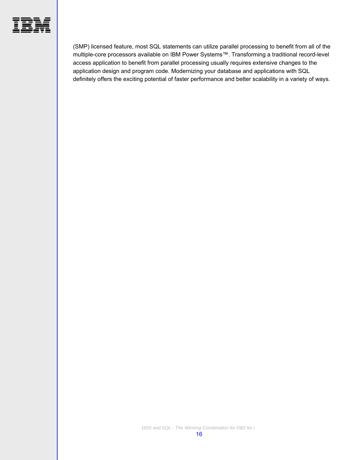

(SMP) licensed feature, most SQL statements can utilize parallel processing to benefit from all of the multiple-core processors available on IBM Power Systems™. Transforming a traditional record-level access application to benefit from parallel processing usually requires extensive changes to the application design and program code. Modernizing your database and applications with SQL definitely offers the exciting potential of faster performance and better scalability in a variety of ways.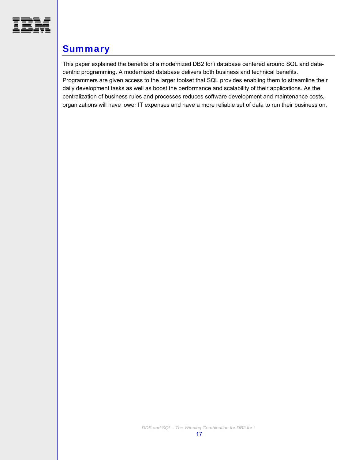<span id="page-18-0"></span>

# **Summary**

This paper explained the benefits of a modernized DB2 for i database centered around SQL and datacentric programming. A modernized database delivers both business and technical benefits. Programmers are given access to the larger toolset that SQL provides enabling them to streamline their daily development tasks as well as boost the performance and scalability of their applications. As the centralization of business rules and processes reduces software development and maintenance costs, organizations will have lower IT expenses and have a more reliable set of data to run their business on.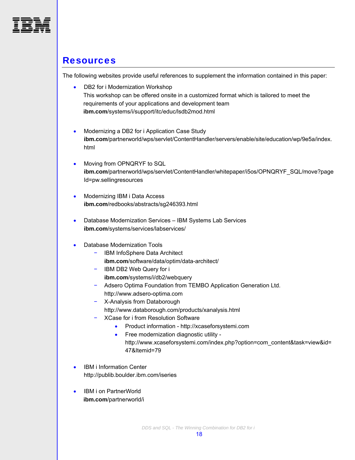<span id="page-19-0"></span>

### **Resources**

The following websites provide useful references to supplement the information contained in this paper:

- DB2 for i Modernization Workshop This workshop can be offered onsite in a customized format which is tailored to meet the requirements of your applications and development team **ibm.com**/systems/i/support/itc/educ/lsdb2mod.html
- Modernizing a DB2 for i Application Case Study **ibm.com**/partnerworld/wps/servlet/ContentHandler/servers/enable/site/education/wp/9e5a/index. html
- Moving from OPNQRYF to SQL **ibm.com**/partnerworld/wps/servlet/ContentHandler/whitepaper/i5os/OPNQRYF\_SQL/move?page Id=pw.sellingresources
- Modernizing IBM i Data Access **ibm.com**/redbooks/abstracts/sg246393.html
- Database Modernization Services IBM Systems Lab Services **ibm.com**/systems/services/labservices/
- Database Modernization Tools
	- − IBM InfoSphere Data Architect **ibm.com**/software/data/optim/data-architect/
	- − IBM DB2 Web Query for i **ibm.com**/systems/i/db2/webquery
	- − Adsero Optima Foundation from TEMBO Application Generation Ltd. http://www.adsero-optima.com
	- − X-Analysis from Databorough http://www.databorough.com/products/xanalysis.html
	- − XCase for i from Resolution Software
		- Product information http://xcaseforsystemi.com
		- Free modernization diagnostic utility http://www.xcaseforsystemi.com/index.php?option=com\_content&task=view&id= 47&Itemid=79
- IBM i Information Center http://publib.boulder.ibm.com/iseries
- IBM i on PartnerWorld **ibm.com**/partnerworld/i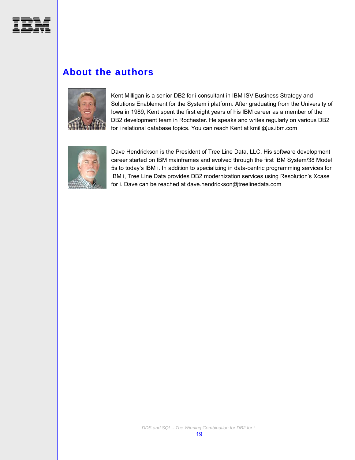<span id="page-20-0"></span>

# About the authors



Kent Milligan is a senior DB2 for i consultant in IBM ISV Business Strategy and Solutions Enablement for the System i platform. After graduating from the University of Iowa in 1989, Kent spent the first eight years of his IBM career as a member of the DB2 development team in Rochester. He speaks and writes regularly on various DB2 for i relational database topics. You can reach Kent at kmill@us.ibm.com



Dave Hendrickson is the President of Tree Line Data, LLC. His software development career started on IBM mainframes and evolved through the first IBM System/38 Model 5s to today's IBM i. In addition to specializing in data-centric programming services for IBM i, Tree Line Data provides DB2 modernization services using Resolution's Xcase for i. Dave can be reached at dave.hendrickson@treelinedata.com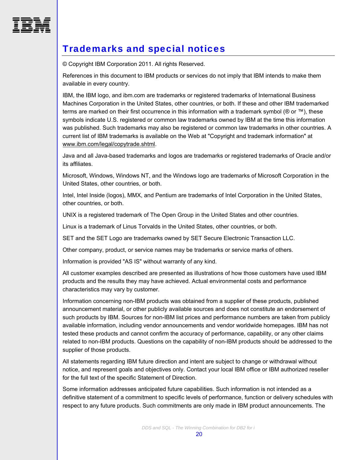<span id="page-21-0"></span>

# Trademarks and special notices

© Copyright IBM Corporation 2011. All rights Reserved.

References in this document to IBM products or services do not imply that IBM intends to make them available in every country.

IBM, the IBM logo, and ibm.com are trademarks or registered trademarks of International Business Machines Corporation in the United States, other countries, or both. If these and other IBM trademarked terms are marked on their first occurrence in this information with a trademark symbol ( $@$  or  $™$ ), these symbols indicate U.S. registered or common law trademarks owned by IBM at the time this information was published. Such trademarks may also be registered or common law trademarks in other countries. A current list of IBM trademarks is available on the Web at "Copyright and trademark information" at [www.ibm.com/legal/copytrade.shtml](http://www.ibm.com/legal/copytrade.shtml).

Java and all Java-based trademarks and logos are trademarks or registered trademarks of Oracle and/or its affiliates.

Microsoft, Windows, Windows NT, and the Windows logo are trademarks of Microsoft Corporation in the United States, other countries, or both.

Intel, Intel Inside (logos), MMX, and Pentium are trademarks of Intel Corporation in the United States, other countries, or both.

UNIX is a registered trademark of The Open Group in the United States and other countries.

Linux is a trademark of Linus Torvalds in the United States, other countries, or both.

SET and the SET Logo are trademarks owned by SET Secure Electronic Transaction LLC.

Other company, product, or service names may be trademarks or service marks of others.

Information is provided "AS IS" without warranty of any kind.

All customer examples described are presented as illustrations of how those customers have used IBM products and the results they may have achieved. Actual environmental costs and performance characteristics may vary by customer.

Information concerning non-IBM products was obtained from a supplier of these products, published announcement material, or other publicly available sources and does not constitute an endorsement of such products by IBM. Sources for non-IBM list prices and performance numbers are taken from publicly available information, including vendor announcements and vendor worldwide homepages. IBM has not tested these products and cannot confirm the accuracy of performance, capability, or any other claims related to non-IBM products. Questions on the capability of non-IBM products should be addressed to the supplier of those products.

All statements regarding IBM future direction and intent are subject to change or withdrawal without notice, and represent goals and objectives only. Contact your local IBM office or IBM authorized reseller for the full text of the specific Statement of Direction.

Some information addresses anticipated future capabilities. Such information is not intended as a definitive statement of a commitment to specific levels of performance, function or delivery schedules with respect to any future products. Such commitments are only made in IBM product announcements. The